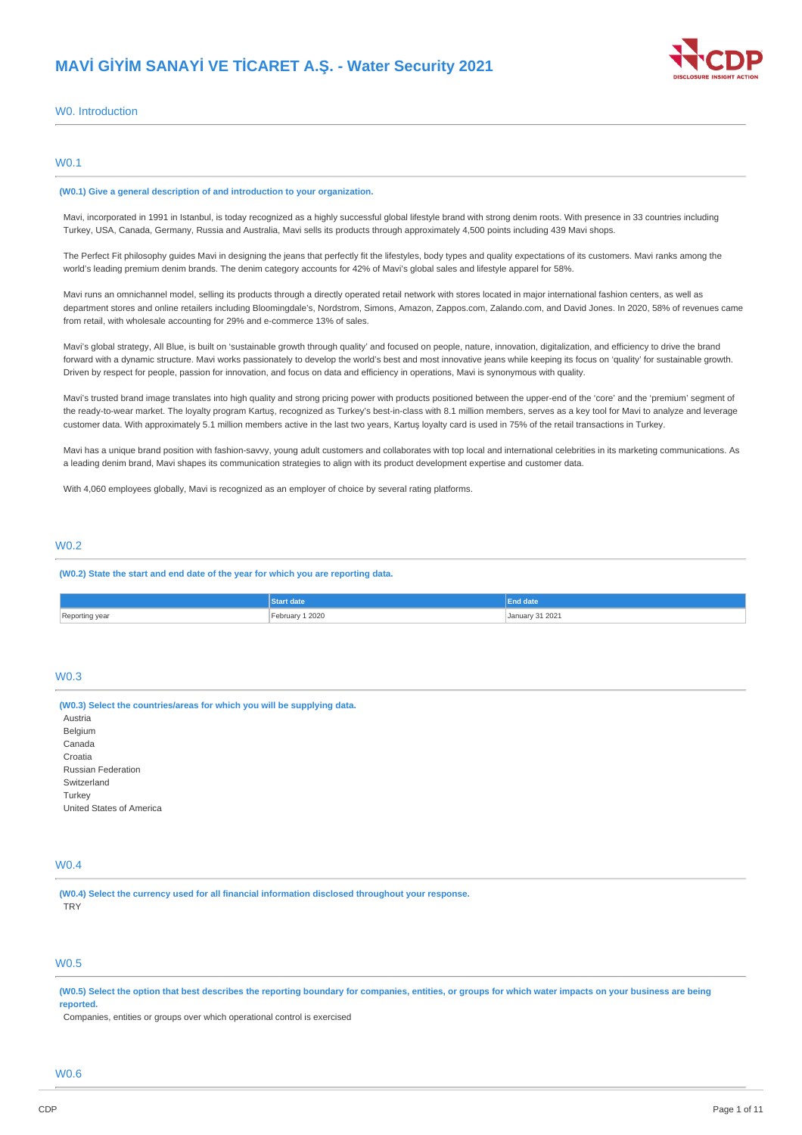

### W0. Introduction

### W0.1

#### **(W0.1) Give a general description of and introduction to your organization.**

Mavi, incorporated in 1991 in Istanbul, is today recognized as a highly successful global lifestyle brand with strong denim roots. With presence in 33 countries including Turkey, USA, Canada, Germany, Russia and Australia, Mavi sells its products through approximately 4,500 points including 439 Mavi shops.

The Perfect Fit philosophy guides Mavi in designing the jeans that perfectly fit the lifestyles, body types and quality expectations of its customers. Mavi ranks among the world's leading premium denim brands. The denim category accounts for 42% of Mavi's global sales and lifestyle apparel for 58%.

Mavi runs an omnichannel model, selling its products through a directly operated retail network with stores located in major international fashion centers, as well as department stores and online retailers including Bloomingdale's, Nordstrom, Simons, Amazon, Zappos.com, Zalando.com, and David Jones. In 2020, 58% of revenues came from retail, with wholesale accounting for 29% and e-commerce 13% of sales.

Mavi's global strategy, All Blue, is built on 'sustainable growth through quality' and focused on people, nature, innovation, digitalization, and efficiency to drive the brand forward with a dynamic structure. Mavi works passionately to develop the world's best and most innovative jeans while keeping its focus on 'quality' for sustainable growth. Driven by respect for people, passion for innovation, and focus on data and efficiency in operations, Mavi is synonymous with quality.

Mavi's trusted brand image translates into high quality and strong pricing power with products positioned between the upper-end of the 'core' and the 'premium' segment of the ready-to-wear market. The loyalty program Kartuş, recognized as Turkey's best-in-class with 8.1 million members, serves as a key tool for Mavi to analyze and leverage customer data. With approximately 5.1 million members active in the last two years, Kartuş loyalty card is used in 75% of the retail transactions in Turkey.

Mavi has a unique brand position with fashion-savvy, young adult customers and collaborates with top local and international celebrities in its marketing communications. As a leading denim brand, Mavi shapes its communication strategies to align with its product development expertise and customer data.

With 4,060 employees globally. May iis recognized as an employer of choice by several rating platforms.

### W0.2

**(W0.2) State the start and end date of the year for which you are reporting data.**

|                | Start date                          | <b>End date</b>                                             |
|----------------|-------------------------------------|-------------------------------------------------------------|
| Reporting year | February 1 2020<br>$- - - - -$<br>. | January 31 2021<br>the contract of the contract of the<br>. |

### W0.3

**(W0.3) Select the countries/areas for which you will be supplying data. Austria** Belgium Canada Croatia Russian Federation Switzerland Turkey United States of America

# W0.4

**(W0.4) Select the currency used for all financial information disclosed throughout your response. TRY** 

# W0.5

(W0.5) Select the option that best describes the reporting boundary for companies, entities, or groups for which water impacts on your business are being **reported.**

Companies, entities or groups over which operational control is exercised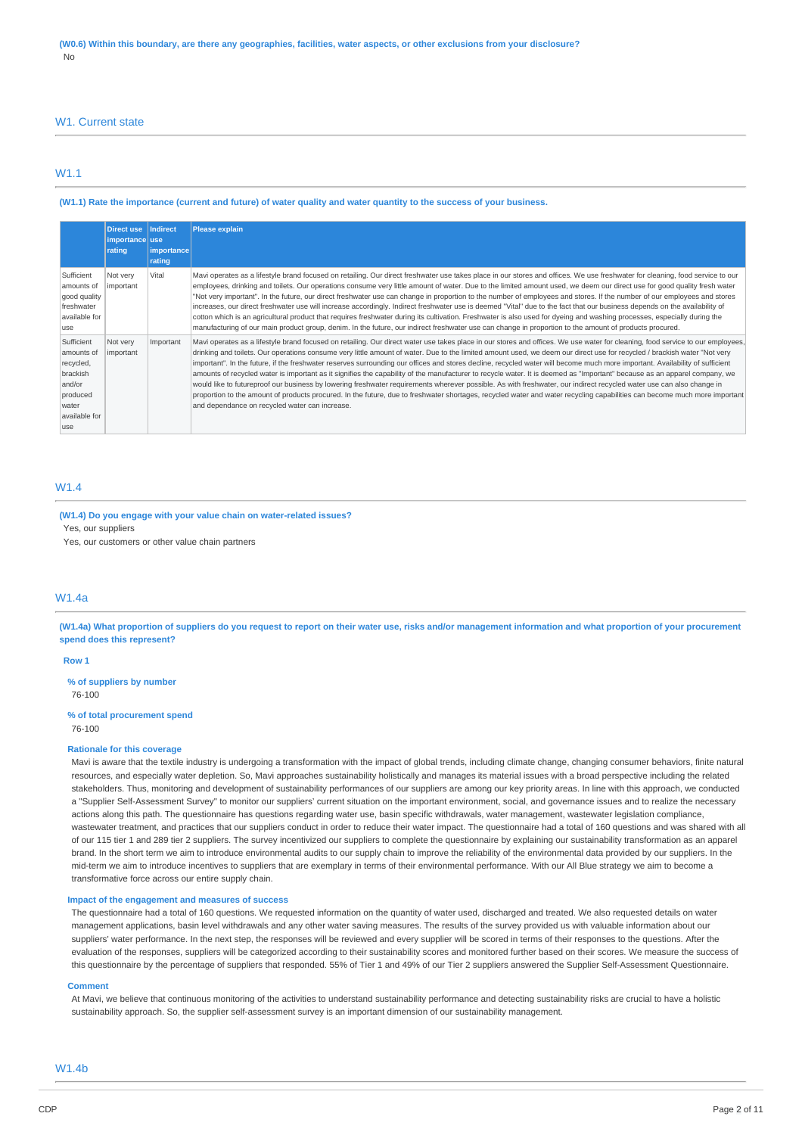#### W1. Current state

### W1.1

#### (W1.1) Rate the importance (current and future) of water quality and water quantity to the success of your business.

|                                                                                                           | Direct use   Indirect<br>importance use<br>rating | importance <br>rating | <b>Please explain</b>                                                                                                                                                                                                                                                                                                                                                                                                                                                                                                                                                                                                                                                                                                                                                                                                                                                                                                                                                                                                                                                                                                          |
|-----------------------------------------------------------------------------------------------------------|---------------------------------------------------|-----------------------|--------------------------------------------------------------------------------------------------------------------------------------------------------------------------------------------------------------------------------------------------------------------------------------------------------------------------------------------------------------------------------------------------------------------------------------------------------------------------------------------------------------------------------------------------------------------------------------------------------------------------------------------------------------------------------------------------------------------------------------------------------------------------------------------------------------------------------------------------------------------------------------------------------------------------------------------------------------------------------------------------------------------------------------------------------------------------------------------------------------------------------|
| Sufficient<br>amounts of<br>good quality<br>freshwater<br>available for<br>use                            | Not very<br>important                             | Vital                 | Mavi operates as a lifestyle brand focused on retailing. Our direct freshwater use takes place in our stores and offices. We use freshwater for cleaning, food service to our<br>employees, drinking and toilets. Our operations consume very little amount of water. Due to the limited amount used, we deem our direct use for good quality fresh water<br>"Not very important". In the future, our direct freshwater use can change in proportion to the number of employees and stores. If the number of our employees and stores<br>increases, our direct freshwater use will increase accordingly. Indirect freshwater use is deemed "Vital" due to the fact that our business depends on the availability of<br>cotton which is an agricultural product that requires freshwater during its cultivation. Freshwater is also used for dyeing and washing processes, especially during the<br>manufacturing of our main product group, denim. In the future, our indirect freshwater use can change in proportion to the amount of products procured.                                                                     |
| Sufficient<br>amounts of<br>recycled,<br>brackish<br>and/or<br>produced<br>water<br>available for<br>luse | Not very<br>important                             | Important             | Mavi operates as a lifestyle brand focused on retailing. Our direct water use takes place in our stores and offices. We use water for cleaning, food service to our employees,<br>drinking and toilets. Our operations consume very little amount of water. Due to the limited amount used, we deem our direct use for recycled / brackish water "Not very<br>important". In the future, if the freshwater reserves surrounding our offices and stores decline, recycled water will become much more important. Availability of sufficient<br>amounts of recycled water is important as it signifies the capability of the manufacturer to recycle water. It is deemed as "Important" because as an apparel company, we<br>would like to futureproof our business by lowering freshwater requirements wherever possible. As with freshwater, our indirect recycled water use can also change in<br>proportion to the amount of products procured. In the future, due to freshwater shortages, recycled water and water recycling capabilities can become much more important<br>and dependance on recycled water can increase. |

### **M/1.4**

**(W1.4) Do you engage with your value chain on water-related issues?** Yes, our suppliers Yes, our customers or other value chain partners

### W1.4a

(W1.4a) What proportion of suppliers do you request to report on their water use, risks and/or management information and what proportion of your procurement **spend does this represent?**

#### **Row 1**

**% of suppliers by number** 76-100

# **% of total procurement spend**

76-100

#### **Rationale for this coverage**

Mavi is aware that the textile industry is undergoing a transformation with the impact of global trends, including climate change, changing consumer behaviors, finite natural resources, and especially water depletion. So, Mavi approaches sustainability holistically and manages its material issues with a broad perspective including the related stakeholders. Thus, monitoring and development of sustainability performances of our suppliers are among our key priority areas. In line with this approach, we conducted a "Supplier Self-Assessment Survey" to monitor our suppliers' current situation on the important environment, social, and governance issues and to realize the necessary actions along this path. The questionnaire has questions regarding water use, basin specific withdrawals, water management, wastewater legislation compliance, wastewater treatment, and practices that our suppliers conduct in order to reduce their water impact. The questionnaire had a total of 160 questions and was shared with all of our 115 tier 1 and 289 tier 2 suppliers. The survey incentivized our suppliers to complete the questionnaire by explaining our sustainability transformation as an apparel brand. In the short term we aim to introduce environmental audits to our supply chain to improve the reliability of the environmental data provided by our suppliers. In the mid-term we aim to introduce incentives to suppliers that are exemplary in terms of their environmental performance. With our All Blue strategy we aim to become a transformative force across our entire supply chain.

#### **Impact of the engagement and measures of success**

The questionnaire had a total of 160 questions. We requested information on the quantity of water used, discharged and treated. We also requested details on water management applications, basin level withdrawals and any other water saving measures. The results of the survey provided us with valuable information about our suppliers' water performance. In the next step, the responses will be reviewed and every supplier will be scored in terms of their responses to the questions. After the evaluation of the responses, suppliers will be categorized according to their sustainability scores and monitored further based on their scores. We measure the success of this questionnaire by the percentage of suppliers that responded. 55% of Tier 1 and 49% of our Tier 2 suppliers answered the Supplier Self-Assessment Questionnaire.

#### **Comment**

At Mavi, we believe that continuous monitoring of the activities to understand sustainability performance and detecting sustainability risks are crucial to have a holistic sustainability approach. So, the supplier self-assessment survey is an important dimension of our sustainability management.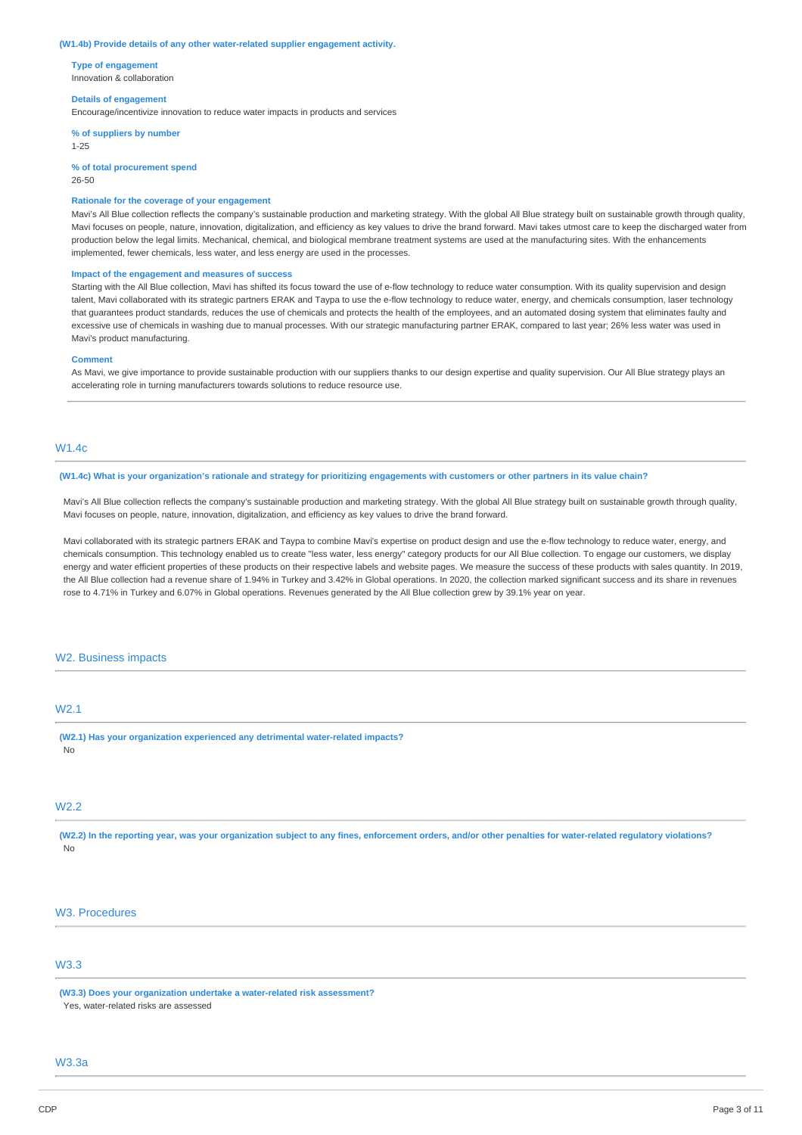#### **(W1.4b) Provide details of any other water-related supplier engagement activity.**

**Type of engagement** Innovation & collaboration

#### **Details of engagement**

Encourage/incentivize innovation to reduce water impacts in products and services

**% of suppliers by number** 1-25

**% of total procurement spend** 26-50

#### **Rationale for the coverage of your engagement**

Mavi's All Blue collection reflects the company's sustainable production and marketing strategy. With the global All Blue strategy built on sustainable growth through quality, Mavi focuses on people, nature, innovation, digitalization, and efficiency as key values to drive the brand forward. Mavi takes utmost care to keep the discharged water from production below the legal limits. Mechanical, chemical, and biological membrane treatment systems are used at the manufacturing sites. With the enhancements implemented, fewer chemicals, less water, and less energy are used in the processes.

#### **Impact of the engagement and measures of success**

Starting with the All Blue collection, Mavi has shifted its focus toward the use of e-flow technology to reduce water consumption. With its quality supervision and design talent, Mavi collaborated with its strategic partners ERAK and Taypa to use the e-flow technology to reduce water, energy, and chemicals consumption, laser technology that guarantees product standards, reduces the use of chemicals and protects the health of the employees, and an automated dosing system that eliminates faulty and excessive use of chemicals in washing due to manual processes. With our strategic manufacturing partner ERAK, compared to last year; 26% less water was used in Mavi's product manufacturing.

#### **Comment**

As Mavi, we give importance to provide sustainable production with our suppliers thanks to our design expertise and quality supervision. Our All Blue strategy plays an accelerating role in turning manufacturers towards solutions to reduce resource use.

### W1.4c

#### (W1.4c) What is your organization's rationale and strategy for prioritizing engagements with customers or other partners in its value chain?

Mavi's All Blue collection reflects the company's sustainable production and marketing strategy. With the global All Blue strategy built on sustainable growth through quality, Mavi focuses on people, nature, innovation, digitalization, and efficiency as key values to drive the brand forward.

Mavi collaborated with its strategic partners ERAK and Taypa to combine Mavi's expertise on product design and use the e-flow technology to reduce water, energy, and chemicals consumption. This technology enabled us to create "less water, less energy" category products for our All Blue collection. To engage our customers, we display energy and water efficient properties of these products on their respective labels and website pages. We measure the success of these products with sales quantity. In 2019, the All Blue collection had a revenue share of 1.94% in Turkey and 3.42% in Global operations. In 2020, the collection marked significant success and its share in revenues rose to 4.71% in Turkey and 6.07% in Global operations. Revenues generated by the All Blue collection grew by 39.1% year on year.

#### W2. Business impacts

### W2.1

**(W2.1) Has your organization experienced any detrimental water-related impacts?** No

### W2.2

(W2.2) In the reporting year, was your organization subject to any fines, enforcement orders, and/or other penalties for water-related regulatory violations? No

### W3. Procedures

# W3.3

**(W3.3) Does your organization undertake a water-related risk assessment?** Yes, water-related risks are assessed

# W3.3a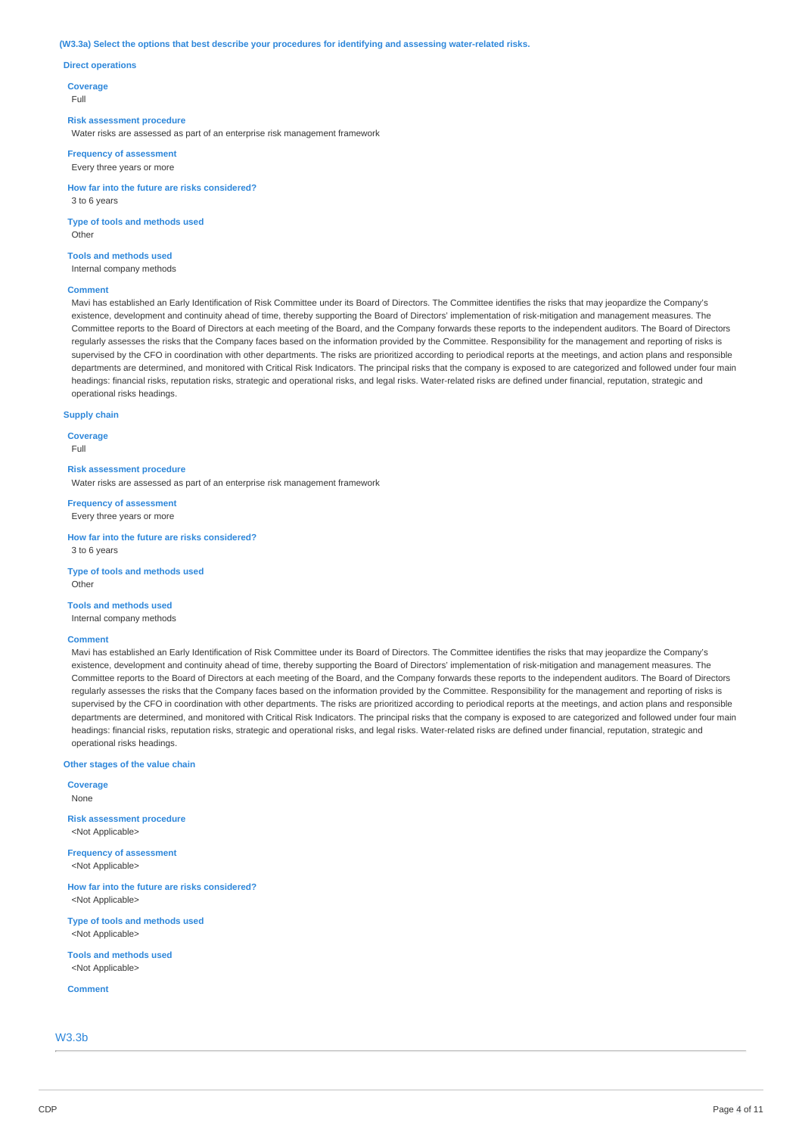#### **(W3.3a) Select the options that best describe your procedures for identifying and assessing water-related risks.**

#### **Direct operations**

**Coverage**

Full

#### **Risk assessment procedure**

Water risks are assessed as part of an enterprise risk management framework

**Frequency of assessment** Every three years or more

**How far into the future are risks considered?** 3 to 6 years

**Type of tools and methods used Other** 

**Tools and methods used** Internal company methods

#### **Comment**

Mavi has established an Early Identification of Risk Committee under its Board of Directors. The Committee identifies the risks that may jeopardize the Company's existence, development and continuity ahead of time, thereby supporting the Board of Directors' implementation of risk-mitigation and management measures. The Committee reports to the Board of Directors at each meeting of the Board, and the Company forwards these reports to the independent auditors. The Board of Directors regularly assesses the risks that the Company faces based on the information provided by the Committee. Responsibility for the management and reporting of risks is supervised by the CFO in coordination with other departments. The risks are prioritized according to periodical reports at the meetings, and action plans and responsible departments are determined, and monitored with Critical Risk Indicators. The principal risks that the company is exposed to are categorized and followed under four main headings: financial risks, reputation risks, strategic and operational risks, and legal risks. Water-related risks are defined under financial, reputation, strategic and operational risks headings.

#### **Supply chain**

**Coverage**

Full

### **Risk assessment procedure**

Water risks are assessed as part of an enterprise risk management framework

**Frequency of assessment** Every three years or more

**How far into the future are risks considered?** 3 to 6 years

**Type of tools and methods used Other** 

#### **Tools and methods used**

Internal company methods

#### **Comment**

Mavi has established an Early Identification of Risk Committee under its Board of Directors. The Committee identifies the risks that may jeopardize the Company's existence, development and continuity ahead of time, thereby supporting the Board of Directors' implementation of risk-mitigation and management measures. The Committee reports to the Board of Directors at each meeting of the Board, and the Company forwards these reports to the independent auditors. The Board of Directors regularly assesses the risks that the Company faces based on the information provided by the Committee. Responsibility for the management and reporting of risks is supervised by the CFO in coordination with other departments. The risks are prioritized according to periodical reports at the meetings, and action plans and responsible departments are determined, and monitored with Critical Risk Indicators. The principal risks that the company is exposed to are categorized and followed under four main headings: financial risks, reputation risks, strategic and operational risks, and legal risks. Water-related risks are defined under financial, reputation, strategic and operational risks headings.

#### **Other stages of the value chain**

**Coverage** None **Risk assessment procedure** <Not Applicable>

**Frequency of assessment** <Not Applicable>

**How far into the future are risks considered?** <Not Applicable>

**Type of tools and methods used** <Not Applicable>

**Tools and methods used** <Not Applicable>

**Comment**

W3.3b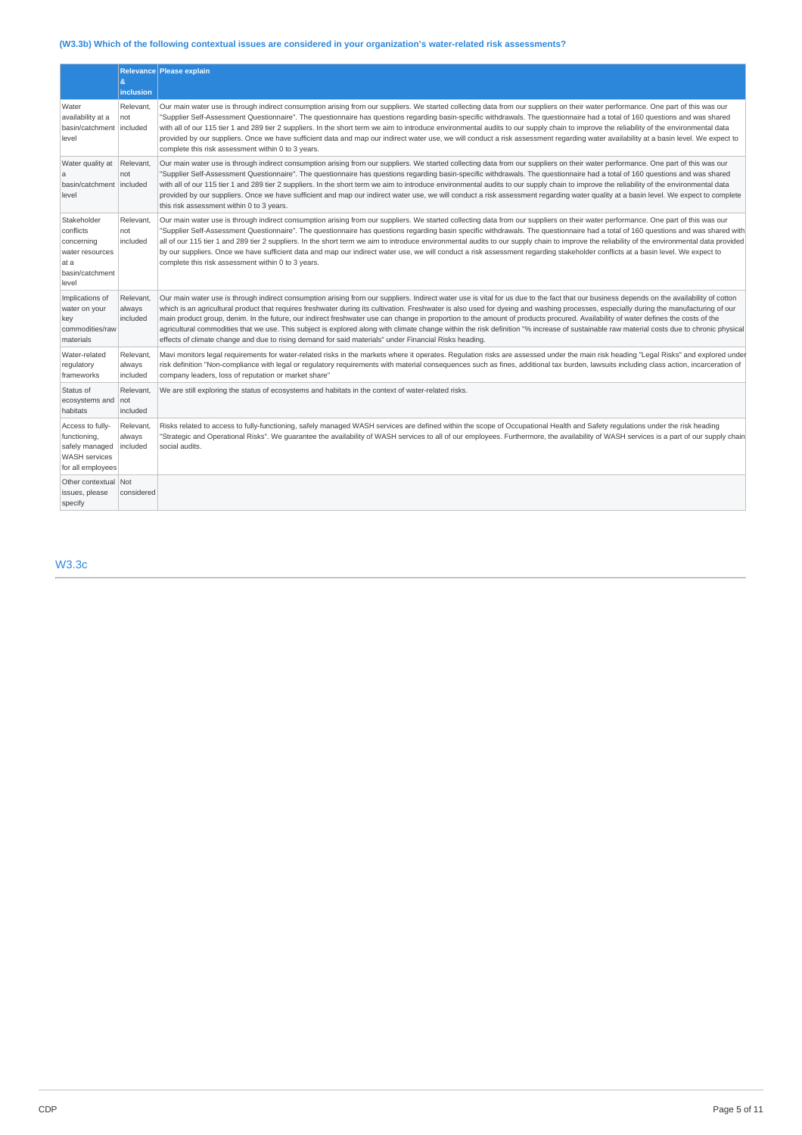# **(W3.3b) Which of the following contextual issues are considered in your organization's water-related risk assessments?**

|                                                                                                                                                                                                                     | Relevance Please explain<br>ė.        |                                                                                                                                                                                                                                                                                                                                                                                                                                                                                                                                                                                                                                                                                                                                                                                                                  |  |
|---------------------------------------------------------------------------------------------------------------------------------------------------------------------------------------------------------------------|---------------------------------------|------------------------------------------------------------------------------------------------------------------------------------------------------------------------------------------------------------------------------------------------------------------------------------------------------------------------------------------------------------------------------------------------------------------------------------------------------------------------------------------------------------------------------------------------------------------------------------------------------------------------------------------------------------------------------------------------------------------------------------------------------------------------------------------------------------------|--|
|                                                                                                                                                                                                                     | <b>inclusion</b>                      |                                                                                                                                                                                                                                                                                                                                                                                                                                                                                                                                                                                                                                                                                                                                                                                                                  |  |
| Water<br>availability at a<br>basin/catchment<br>level                                                                                                                                                              | Relevant.<br>not<br>included          | Our main water use is through indirect consumption arising from our suppliers. We started collecting data from our suppliers on their water performance. One part of this was our<br>'Supplier Self-Assessment Questionnaire". The questionnaire has questions regarding basin-specific withdrawals. The questionnaire had a total of 160 questions and was shared<br>with all of our 115 tier 1 and 289 tier 2 suppliers. In the short term we aim to introduce environmental audits to our supply chain to improve the reliability of the environmental data<br>provided by our suppliers. Once we have sufficient data and map our indirect water use, we will conduct a risk assessment regarding water availability at a basin level. We expect to<br>complete this risk assessment within 0 to 3 years.    |  |
| Water quality at<br>a<br>basin/catchment   included<br>level                                                                                                                                                        | Relevant.<br>not                      | Our main water use is through indirect consumption arising from our suppliers. We started collecting data from our suppliers on their water performance. One part of this was our<br>"Supplier Self-Assessment Questionnaire". The questionnaire has questions regarding basin-specific withdrawals. The questionnaire had a total of 160 questions and was shared<br>with all of our 115 tier 1 and 289 tier 2 suppliers. In the short term we aim to introduce environmental audits to our supply chain to improve the reliability of the environmental data<br>provided by our suppliers. Once we have sufficient and map our indirect water use, we will conduct a risk assessment regarding water quality at a basin level. We expect to complete<br>this risk assessment within 0 to 3 years.              |  |
| Stakeholder<br>conflicts<br>concerning<br>water resources<br>at a<br>basin/catchment<br>level                                                                                                                       | Relevant.<br>not<br>included          | Our main water use is through indirect consumption arising from our suppliers. We started collecting data from our suppliers on their water performance. One part of this was our<br>"Supplier Self-Assessment Questionnaire". The questionnaire has questions regarding basin specific withdrawals. The questionnaire had a total of 160 questions and was shared with<br>all of our 115 tier 1 and 289 tier 2 suppliers. In the short term we aim to introduce environmental audits to our supply chain to improve the reliability of the environmental data provided<br>by our suppliers. Once we have sufficient data and map our indirect water use, we will conduct a risk assessment regarding stakeholder conflicts at a basin level. We expect to<br>complete this risk assessment within 0 to 3 years. |  |
| Implications of<br>Relevant,<br>water on your<br>always<br>included<br>key<br>commodities/raw<br>effects of climate change and due to rising demand for said materials" under Financial Risks heading.<br>materials |                                       | Our main water use is through indirect consumption arising from our suppliers. Indirect water use is vital for us due to the fact that our business depends on the availability of cotton<br>which is an agricultural product that requires freshwater during its cultivation. Freshwater is also used for dyeing and washing processes, especially during the manufacturing of our<br>main product group, denim. In the future, our indirect freshwater use can change in proportion to the amount of products procured. Availability of water defines the costs of the<br>agricultural commodities that we use. This subject is explored along with climate change within the risk definition "% increase of sustainable raw material costs due to chronic physical                                            |  |
| Water-related<br>regulatory<br>frameworks                                                                                                                                                                           | Relevant.<br>always<br>included       | Mavi monitors legal requirements for water-related risks in the markets where it operates. Requlation risks are assessed under the main risk heading "Legal Risks" and explored under<br>risk definition "Non-compliance with legal or regulatory requirements with material consequences such as fines, additional tax burden, lawsuits including class action, incarceration of<br>company leaders, loss of reputation or market share"                                                                                                                                                                                                                                                                                                                                                                        |  |
| Status of<br>ecosystems and<br>habitats                                                                                                                                                                             | Relevant,<br>not<br>included          | We are still exploring the status of ecosystems and habitats in the context of water-related risks.                                                                                                                                                                                                                                                                                                                                                                                                                                                                                                                                                                                                                                                                                                              |  |
| Access to fully-<br>functioning,<br>safely managed<br><b>WASH</b> services<br>for all employees                                                                                                                     | <b>Relevant</b><br>always<br>included | Risks related to access to fully-functioning, safely managed WASH services are defined within the scope of Occupational Health and Safety regulations under the risk heading<br>'Strategic and Operational Risks". We quarantee the availability of WASH services to all of our employees. Furthermore, the availability of WASH services is a part of our supply chain<br>social audits.                                                                                                                                                                                                                                                                                                                                                                                                                        |  |
| Other contextual Not<br>issues, please<br>specify                                                                                                                                                                   | considered                            |                                                                                                                                                                                                                                                                                                                                                                                                                                                                                                                                                                                                                                                                                                                                                                                                                  |  |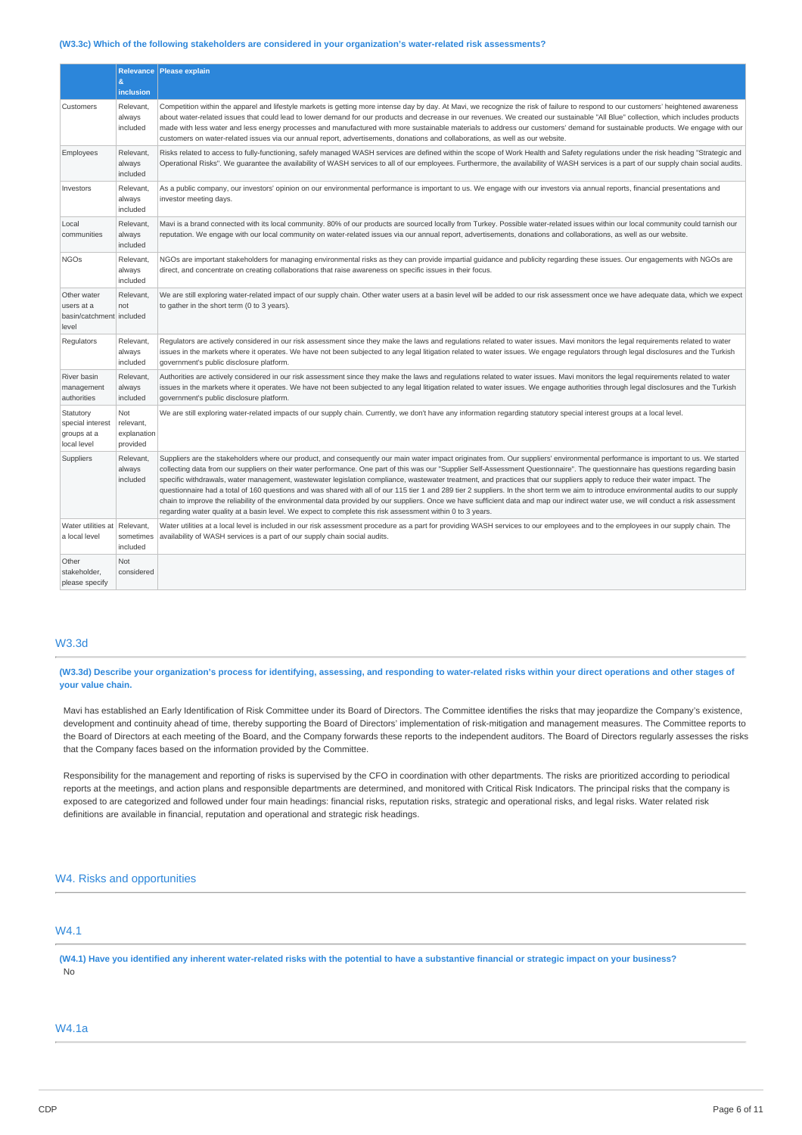#### **(W3.3c) Which of the following stakeholders are considered in your organization's water-related risk assessments?**

|                                                                | &<br>inclusion                              | Relevance   Please explain                                                                                                                                                                                                                                                                                                                                                                                                                                                                                                                                                                                                                                                                                                                                                                                                                                                                                                                                                                                                                          |
|----------------------------------------------------------------|---------------------------------------------|-----------------------------------------------------------------------------------------------------------------------------------------------------------------------------------------------------------------------------------------------------------------------------------------------------------------------------------------------------------------------------------------------------------------------------------------------------------------------------------------------------------------------------------------------------------------------------------------------------------------------------------------------------------------------------------------------------------------------------------------------------------------------------------------------------------------------------------------------------------------------------------------------------------------------------------------------------------------------------------------------------------------------------------------------------|
| Customers                                                      | Relevant,<br>always<br>included             | Competition within the apparel and lifestyle markets is getting more intense day by day. At Mavi, we recognize the risk of failure to respond to our customers' heightened awareness<br>about water-related issues that could lead to lower demand for our products and decrease in our revenues. We created our sustainable "All Blue" collection, which includes products<br>made with less water and less energy processes and manufactured with more sustainable materials to address our customers' demand for sustainable products. We engage with our<br>customers on water-related issues via our annual report, advertisements, donations and collaborations, as well as our website.                                                                                                                                                                                                                                                                                                                                                      |
| Employees                                                      | Relevant,<br>always<br>included             | Risks related to access to fully-functioning, safely managed WASH services are defined within the scope of Work Health and Safety regulations under the risk heading "Strategic and<br>Operational Risks". We quarantee the availability of WASH services to all of our employees. Furthermore, the availability of WASH services is a part of our supply chain social audits.                                                                                                                                                                                                                                                                                                                                                                                                                                                                                                                                                                                                                                                                      |
| Investors                                                      | Relevant,<br>always<br>included             | As a public company, our investors' opinion on our environmental performance is important to us. We engage with our investors via annual reports, financial presentations and<br>investor meeting days.                                                                                                                                                                                                                                                                                                                                                                                                                                                                                                                                                                                                                                                                                                                                                                                                                                             |
| Local<br>communities                                           | Relevant,<br>always<br>included             | Mavi is a brand connected with its local community. 80% of our products are sourced locally from Turkey. Possible water-related issues within our local community could tarnish our<br>reputation. We engage with our local community on water-related issues via our annual report, advertisements, donations and collaborations, as well as our website.                                                                                                                                                                                                                                                                                                                                                                                                                                                                                                                                                                                                                                                                                          |
| <b>NGOs</b>                                                    | Relevant,<br>always<br>included             | NGOs are important stakeholders for managing environmental risks as they can provide impartial quidance and publicity regarding these issues. Our engagements with NGOs are<br>direct, and concentrate on creating collaborations that raise awareness on specific issues in their focus.                                                                                                                                                                                                                                                                                                                                                                                                                                                                                                                                                                                                                                                                                                                                                           |
| Other water<br>users at a<br>basin/catchment included<br>level | Relevant.<br>not                            | We are still exploring water-related impact of our supply chain. Other water users at a basin level will be added to our risk assessment once we have adequate data, which we expect<br>to gather in the short term (0 to 3 years).                                                                                                                                                                                                                                                                                                                                                                                                                                                                                                                                                                                                                                                                                                                                                                                                                 |
| Regulators                                                     | Relevant,<br>always<br>included             | Regulators are actively considered in our risk assessment since they make the laws and regulations related to water issues. Mavi monitors the legal requirements related to water<br>issues in the markets where it operates. We have not been subjected to any legal litigation related to water issues. We engage regulators through legal disclosures and the Turkish<br>government's public disclosure platform.                                                                                                                                                                                                                                                                                                                                                                                                                                                                                                                                                                                                                                |
| River basin<br>management<br>authorities                       | Relevant,<br>always<br>included             | Authorities are actively considered in our risk assessment since they make the laws and regulations related to water issues. Mavi monitors the legal requirements related to water<br>issues in the markets where it operates. We have not been subjected to any legal litigation related to water issues. We engage authorities through legal disclosures and the Turkish<br>government's public disclosure platform.                                                                                                                                                                                                                                                                                                                                                                                                                                                                                                                                                                                                                              |
| Statutory<br>special interest<br>groups at a<br>local level    | Not<br>relevant,<br>explanation<br>provided | We are still exploring water-related impacts of our supply chain. Currently, we don't have any information regarding statutory special interest groups at a local level.                                                                                                                                                                                                                                                                                                                                                                                                                                                                                                                                                                                                                                                                                                                                                                                                                                                                            |
| Suppliers                                                      | Relevant,<br>always<br>included             | Suppliers are the stakeholders where our product, and consequently our main water impact originates from. Our suppliers' environmental performance is important to us. We started<br>collecting data from our suppliers on their water performance. One part of this was our "Supplier Self-Assessment Questionnaire". The questionnaire has questions regarding basin<br>specific withdrawals, water management, wastewater legislation compliance, wastewater treatment, and practices that our suppliers apply to reduce their water impact. The<br>questionnaire had a total of 160 questions and was shared with all of our 115 tier 1 and 289 tier 2 suppliers. In the short term we aim to introduce environmental audits to our supply<br>chain to improve the reliability of the environmental data provided by our suppliers. Once we have sufficient data and map our indirect water use, we will conduct a risk assessment<br>regarding water quality at a basin level. We expect to complete this risk assessment within 0 to 3 years. |
| Water utilities at Relevant,<br>a local level                  | sometimes<br>included                       | Water utilities at a local level is included in our risk assessment procedure as a part for providing WASH services to our employees and to the employees in our supply chain. The<br>availability of WASH services is a part of our supply chain social audits.                                                                                                                                                                                                                                                                                                                                                                                                                                                                                                                                                                                                                                                                                                                                                                                    |
| Other<br>stakeholder,<br>please specify                        | <b>Not</b><br>considered                    |                                                                                                                                                                                                                                                                                                                                                                                                                                                                                                                                                                                                                                                                                                                                                                                                                                                                                                                                                                                                                                                     |

### W3.3d

(W3.3d) Describe your organization's process for identifying, assessing, and responding to water-related risks within your direct operations and other stages of **your value chain.**

Mavi has established an Early Identification of Risk Committee under its Board of Directors. The Committee identifies the risks that may jeopardize the Company's existence, development and continuity ahead of time, thereby supporting the Board of Directors' implementation of risk-mitigation and management measures. The Committee reports to the Board of Directors at each meeting of the Board, and the Company forwards these reports to the independent auditors. The Board of Directors regularly assesses the risks that the Company faces based on the information provided by the Committee.

Responsibility for the management and reporting of risks is supervised by the CFO in coordination with other departments. The risks are prioritized according to periodical reports at the meetings, and action plans and responsible departments are determined, and monitored with Critical Risk Indicators. The principal risks that the company is exposed to are categorized and followed under four main headings: financial risks, reputation risks, strategic and operational risks, and legal risks. Water related risk definitions are available in financial, reputation and operational and strategic risk headings.

### W4. Risks and opportunities

# W4.1

(W4.1) Have you identified any inherent water-related risks with the potential to have a substantive financial or strategic impact on your business? No

### W4.1a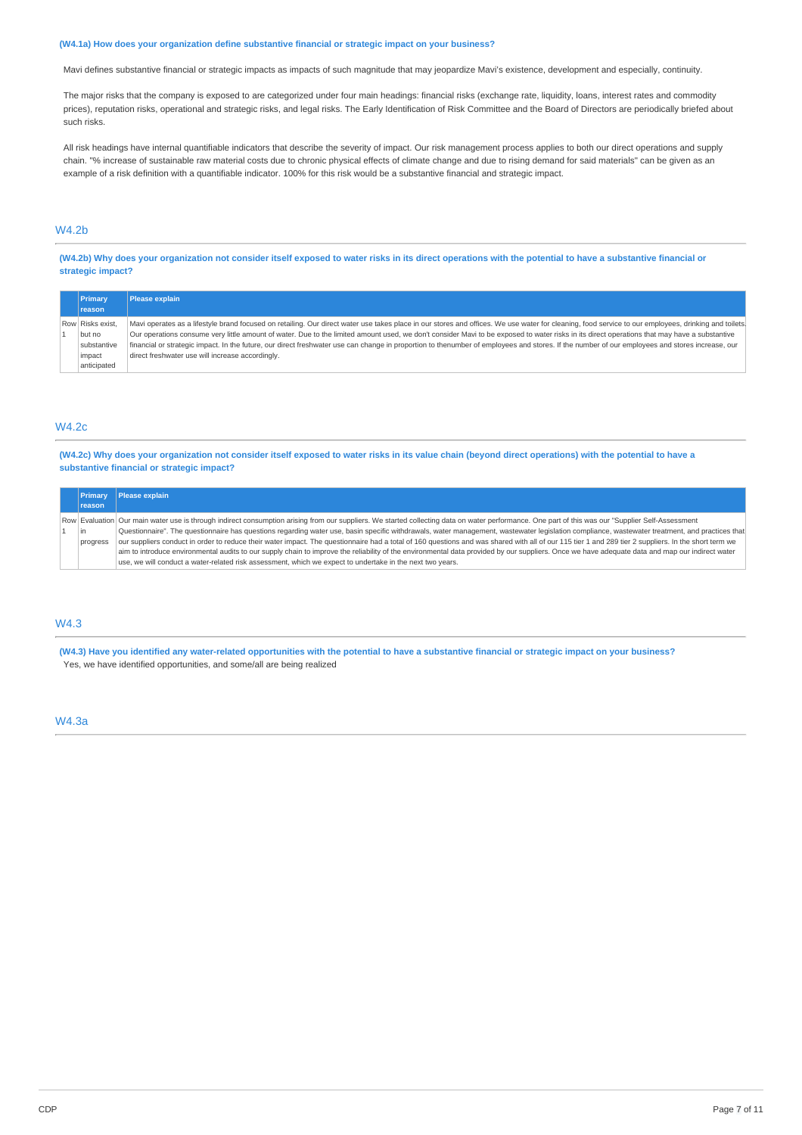#### **(W4.1a) How does your organization define substantive financial or strategic impact on your business?**

Mavi defines substantive financial or strategic impacts as impacts of such magnitude that may jeopardize Mavi's existence, development and especially, continuity.

The major risks that the company is exposed to are categorized under four main headings: financial risks (exchange rate, liquidity, loans, interest rates and commodity prices), reputation risks, operational and strategic risks, and legal risks. The Early Identification of Risk Committee and the Board of Directors are periodically briefed about such risks.

All risk headings have internal quantifiable indicators that describe the severity of impact. Our risk management process applies to both our direct operations and supply chain. "% increase of sustainable raw material costs due to chronic physical effects of climate change and due to rising demand for said materials" can be given as an example of a risk definition with a quantifiable indicator. 100% for this risk would be a substantive financial and strategic impact.

# W4.2b

(W4.2b) Why does your organization not consider itself exposed to water risks in its direct operations with the potential to have a substantive financial or **strategic impact?**

| Primary          | <b>Please explain</b>                                                                                                                                                                                |  |  |
|------------------|------------------------------------------------------------------------------------------------------------------------------------------------------------------------------------------------------|--|--|
| <b>reason</b>    |                                                                                                                                                                                                      |  |  |
| Row Risks exist. | Mavi operates as a lifestyle brand focused on retailing. Our direct water use takes place in our stores and offices. We use water for cleaning, food service to our employees, drinking and toilets. |  |  |
| but no           | Our operations consume very little amount of water. Due to the limited amount used, we don't consider Mavi to be exposed to water risks in its direct operations that may have a substantive         |  |  |
| substantive      | financial or strategic impact. In the future, our direct freshwater use can change in proportion to thenumber of employees and stores. If the number of our employees and stores increase, our       |  |  |
| impact           | direct freshwater use will increase accordingly.                                                                                                                                                     |  |  |
| anticipated      |                                                                                                                                                                                                      |  |  |

### W4.2c

(W4.2c) Why does your organization not consider itself exposed to water risks in its value chain (beyond direct operations) with the potential to have a **substantive financial or strategic impact?**

| <b>Primary</b> | Please explain                                                                                                                                                                                       |
|----------------|------------------------------------------------------------------------------------------------------------------------------------------------------------------------------------------------------|
| <b>reason</b>  |                                                                                                                                                                                                      |
|                | Row Evaluation Our main water use is through indirect consumption arising from our suppliers. We started collecting data on water performance. One part of this was our "Supplier Self-Assessment    |
| l in           | Ouestionnaire". The questionnaire has questions regarding water use, basin specific withdrawals, water management, wastewater legislation compliance, wastewater treatment, and practices that       |
| progress       | our suppliers conduct in order to reduce their water impact. The questionnaire had a total of 160 questions and was shared with all of our 115 tier 1 and 289 tier 2 suppliers. In the short term we |
|                | aim to introduce environmental audits to our supply chain to improve the reliability of the environmental data provided by our suppliers. Once we have adequate data and map our indirect water      |
|                | use, we will conduct a water-related risk assessment, which we expect to undertake in the next two vears.                                                                                            |

### W4.3

(W4.3) Have you identified any water-related opportunities with the potential to have a substantive financial or strategic impact on your business? Yes, we have identified opportunities, and some/all are being realized

#### W4.3a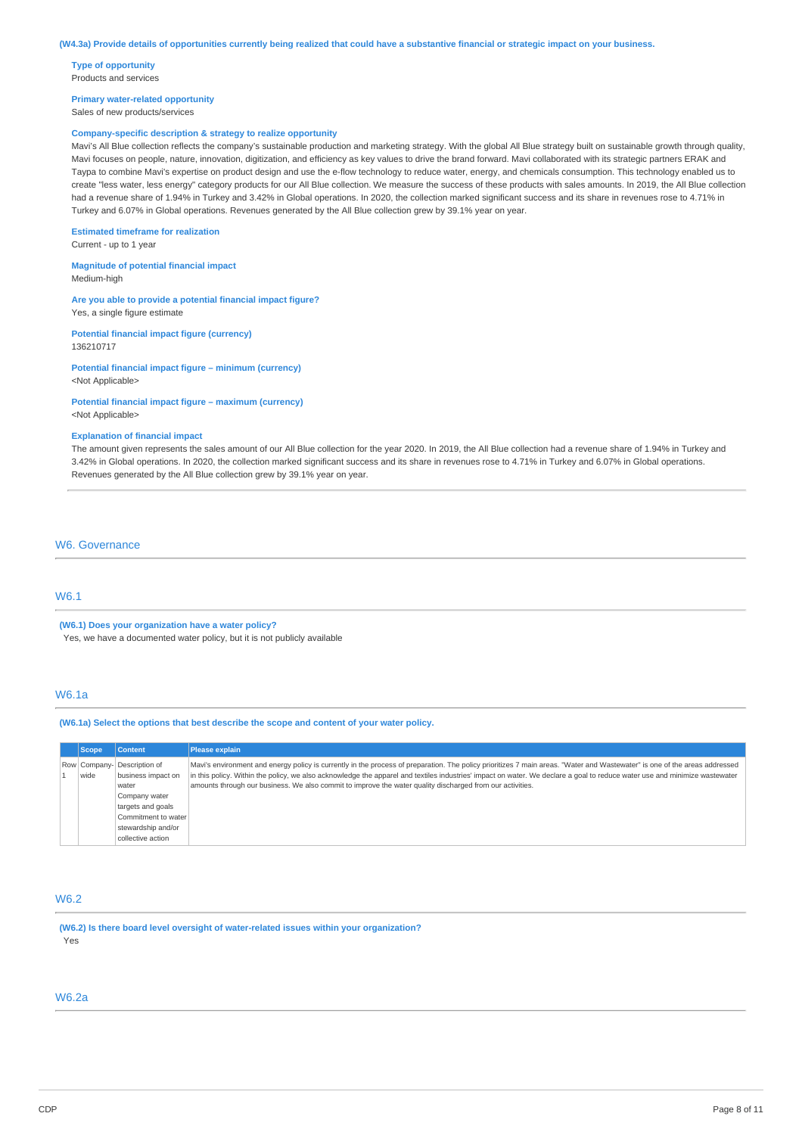**Type of opportunity** Products and services

**Primary water-related opportunity**

Sales of new products/services

### **Company-specific description & strategy to realize opportunity**

Mavi's All Blue collection reflects the company's sustainable production and marketing strategy. With the global All Blue strategy built on sustainable growth through quality, Mavi focuses on people, nature, innovation, digitization, and efficiency as key values to drive the brand forward. Mavi collaborated with its strategic partners ERAK and Taypa to combine Mavi's expertise on product design and use the e-flow technology to reduce water, energy, and chemicals consumption. This technology enabled us to create "less water, less energy" category products for our All Blue collection. We measure the success of these products with sales amounts. In 2019, the All Blue collection had a revenue share of 1.94% in Turkey and 3.42% in Global operations. In 2020, the collection marked significant success and its share in revenues rose to 4.71% in Turkey and 6.07% in Global operations. Revenues generated by the All Blue collection grew by 39.1% year on year.

#### **Estimated timeframe for realization**

Current - up to 1 year

**Magnitude of potential financial impact** Medium-high

#### **Are you able to provide a potential financial impact figure?**

Yes, a single figure estimate

**Potential financial impact figure (currency)** 136210717

# **Potential financial impact figure – minimum (currency)**

<Not Applicable>

#### **Potential financial impact figure – maximum (currency)**

<Not Applicable>

#### **Explanation of financial impact**

The amount given represents the sales amount of our All Blue collection for the year 2020. In 2019, the All Blue collection had a revenue share of 1.94% in Turkey and 3.42% in Global operations. In 2020, the collection marked significant success and its share in revenues rose to 4.71% in Turkey and 6.07% in Global operations. Revenues generated by the All Blue collection grew by 39.1% year on year.

### W6. Governance

### W6.1

**(W6.1) Does your organization have a water policy?** Yes, we have a documented water policy, but it is not publicly available

## W6.1a

#### **(W6.1a) Select the options that best describe the scope and content of your water policy.**

| <b>Scope</b> | <b>Content</b>                                    | <b>Please explain</b>                                                                                                                                                                                                                                                                                                                                    |
|--------------|---------------------------------------------------|----------------------------------------------------------------------------------------------------------------------------------------------------------------------------------------------------------------------------------------------------------------------------------------------------------------------------------------------------------|
| wide         | Row Company- Description of<br>business impact on | Mavi's environment and energy policy is currently in the process of preparation. The policy prioritizes 7 main areas. "Water and Wastewater" is one of the areas addressed<br>in this policy. Within the policy, we also acknowledge the apparel and textiles industries' impact on water. We declare a goal to reduce water use and minimize wastewater |
|              | water                                             | amounts through our business. We also commit to improve the water quality discharged from our activities.                                                                                                                                                                                                                                                |
|              | Company water                                     |                                                                                                                                                                                                                                                                                                                                                          |
|              | targets and goals                                 |                                                                                                                                                                                                                                                                                                                                                          |
|              | Commitment to water                               |                                                                                                                                                                                                                                                                                                                                                          |
|              | stewardship and/or                                |                                                                                                                                                                                                                                                                                                                                                          |
|              | collective action                                 |                                                                                                                                                                                                                                                                                                                                                          |

### W6.2

**(W6.2) Is there board level oversight of water-related issues within your organization?** Yes

### W6.2a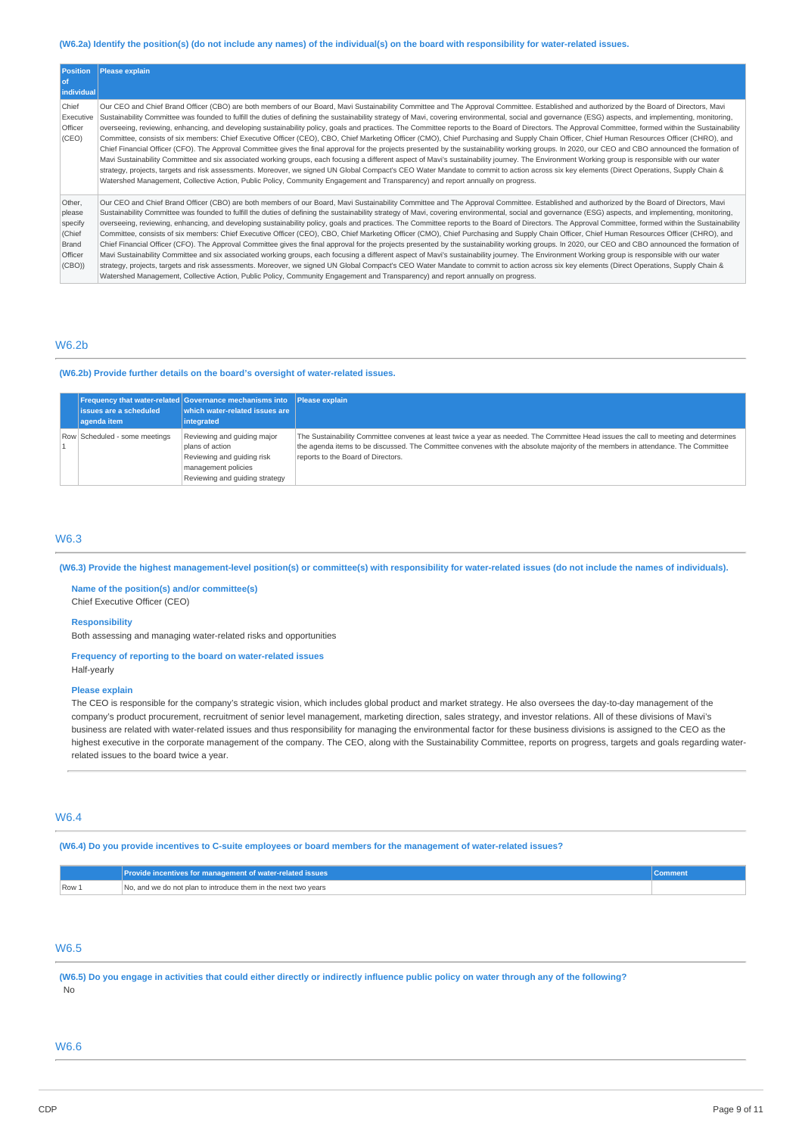# (W6.2a) Identify the position(s) (do not include any names) of the individual(s) on the board with responsibility for water-related issues.

| <b>Position</b><br>l of<br>individual                              | <b>Please explain</b>                                                                                                                                                                                                                                                                                                                                                                                                                                                                                                                                                                                                                                                                                                                                                                                                                                                                                                                                                                                                                                                                                                                                                                                                                                                                                                                                                                                                                                                                                                                                   |
|--------------------------------------------------------------------|---------------------------------------------------------------------------------------------------------------------------------------------------------------------------------------------------------------------------------------------------------------------------------------------------------------------------------------------------------------------------------------------------------------------------------------------------------------------------------------------------------------------------------------------------------------------------------------------------------------------------------------------------------------------------------------------------------------------------------------------------------------------------------------------------------------------------------------------------------------------------------------------------------------------------------------------------------------------------------------------------------------------------------------------------------------------------------------------------------------------------------------------------------------------------------------------------------------------------------------------------------------------------------------------------------------------------------------------------------------------------------------------------------------------------------------------------------------------------------------------------------------------------------------------------------|
| Chief<br>Executive<br>Officer<br>(CEO)                             | Our CEO and Chief Brand Officer (CBO) are both members of our Board, Mavi Sustainability Committee and The Approval Committee. Established and authorized by the Board of Directors, Mavi<br>Sustainability Committee was founded to fulfill the duties of defining the sustainability strategy of Mavi, covering environmental, social and governance (ESG) aspects, and implementing, monitoring,<br>overseeing, reviewing, enhancing, and developing sustainability policy, goals and practices. The Committee reports to the Board of Directors. The Approval Committee, formed within the Sustainability<br>Committee, consists of six members: Chief Executive Officer (CEO), CBO, Chief Marketing Officer (CMO), Chief Purchasing and Supply Chain Officer, Chief Human Resources Officer (CHRO), and<br>Chief Financial Officer (CFO). The Approval Committee gives the final approval for the projects presented by the sustainability working groups. In 2020, our CEO and CBO announced the formation of<br>Mavi Sustainability Committee and six associated working groups, each focusing a different aspect of Mavi's sustainability journey. The Environment Working group is responsible with our water<br>strategy, projects, targets and risk assessments. Moreover, we signed UN Global Compact's CEO Water Mandate to commit to action across six key elements (Direct Operations, Supply Chain &<br>Watershed Management, Collective Action, Public Policy, Community Engagement and Transparency) and report annually on progress. |
| Other,<br>please<br>specify<br>(Chief<br>Brand<br>Officer<br>(CBO) | Our CEO and Chief Brand Officer (CBO) are both members of our Board, Mavi Sustainability Committee and The Approval Committee. Established and authorized by the Board of Directors, Mavi<br>Sustainability Committee was founded to fulfill the duties of defining the sustainability strategy of Mavi, covering environmental, social and governance (ESG) aspects, and implementing, monitoring,<br>overseeing, reviewing, enhancing, and developing sustainability policy, goals and practices. The Committee reports to the Board of Directors. The Approval Committee, formed within the Sustainability<br>Committee, consists of six members: Chief Executive Officer (CEO), CBO, Chief Marketing Officer (CMO), Chief Purchasing and Supply Chain Officer, Chief Human Resources Officer (CHRO), and<br>Chief Financial Officer (CFO). The Approval Committee gives the final approval for the projects presented by the sustainability working groups. In 2020, our CEO and CBO announced the formation of<br>Mavi Sustainability Committee and six associated working groups, each focusing a different aspect of Mavi's sustainability journey. The Environment Working group is responsible with our water<br>strategy, projects, targets and risk assessments. Moreover, we signed UN Global Compact's CEO Water Mandate to commit to action across six key elements (Direct Operations, Supply Chain &<br>Watershed Management, Collective Action, Public Policy, Community Engagement and Transparency) and report annually on progress. |

### W6.2b

### **(W6.2b) Provide further details on the board's oversight of water-related issues.**

|                               | <b>Frequency that water-related Governance mechanisms into</b> Please explain                                                         |                                                                                                                                                                                                                                                                                                              |
|-------------------------------|---------------------------------------------------------------------------------------------------------------------------------------|--------------------------------------------------------------------------------------------------------------------------------------------------------------------------------------------------------------------------------------------------------------------------------------------------------------|
| <b>issues are a scheduled</b> | which water-related issues are                                                                                                        |                                                                                                                                                                                                                                                                                                              |
| agenda item                   | integrated                                                                                                                            |                                                                                                                                                                                                                                                                                                              |
| Row Scheduled - some meetings | Reviewing and quiding major<br>plans of action<br>Reviewing and quiding risk<br>management policies<br>Reviewing and quiding strategy | The Sustainability Committee convenes at least twice a year as needed. The Committee Head issues the call to meeting and determines<br>the agenda items to be discussed. The Committee convenes with the absolute majority of the members in attendance. The Committee<br>reports to the Board of Directors. |

# W6.3

(W6.3) Provide the highest management-level position(s) or committee(s) with responsibility for water-related issues (do not include the names of individuals).

**Name of the position(s) and/or committee(s)** Chief Executive Officer (CEO)

#### **Responsibility**

Both assessing and managing water-related risks and opportunities

### **Frequency of reporting to the board on water-related issues**

Half-yearly

#### **Please explain**

The CEO is responsible for the company's strategic vision, which includes global product and market strategy. He also oversees the day-to-day management of the company's product procurement, recruitment of senior level management, marketing direction, sales strategy, and investor relations. All of these divisions of Mavi's business are related with water-related issues and thus responsibility for managing the environmental factor for these business divisions is assigned to the CEO as the highest executive in the corporate management of the company. The CEO, along with the Sustainability Committee, reports on progress, targets and goals regarding waterrelated issues to the board twice a year.

### W6.4

(W6.4) Do you provide incentives to C-suite employees or board members for the management of water-related issues?

|      | Provide incentives for management of water-related issues              |  |
|------|------------------------------------------------------------------------|--|
| Row: | . and we do not plan to introduce them in the next two vears $\,$<br>. |  |

# W6.5

(W6.5) Do you engage in activities that could either directly or indirectly influence public policy on water through any of the following? No

### W6.6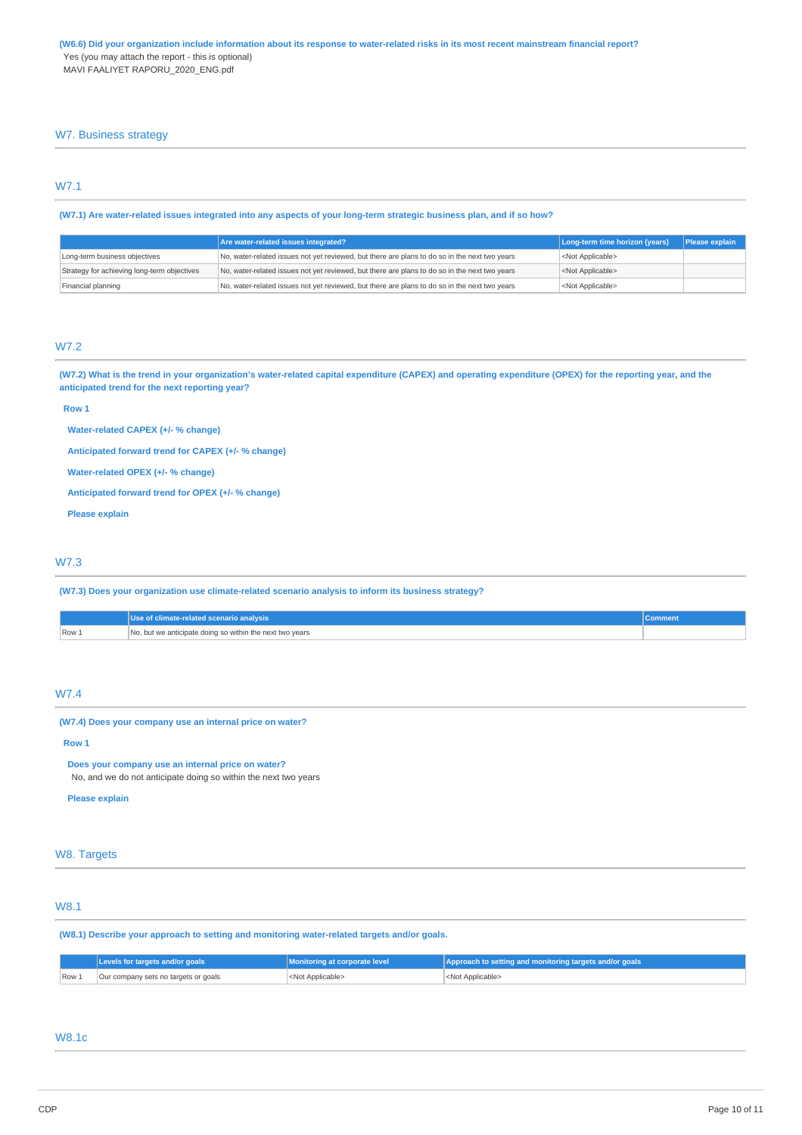### W7. Business strategy

# W7.1

(W7.1) Are water-related issues integrated into any aspects of your long-term strategic business plan, and if so how?

|                                             | Are water-related issues integrated?                                                          | Long-term time horizon (years) | Please explain |
|---------------------------------------------|-----------------------------------------------------------------------------------------------|--------------------------------|----------------|
| Long-term business objectives               | No, water-related issues not yet reviewed, but there are plans to do so in the next two years | <not applicable=""></not>      |                |
| Strategy for achieving long-term objectives | No, water-related issues not yet reviewed, but there are plans to do so in the next two years | <not applicable=""></not>      |                |
| Financial planning                          | No, water-related issues not yet reviewed, but there are plans to do so in the next two years | <not applicable=""></not>      |                |

# W7.2

(W7.2) What is the trend in your organization's water-related capital expenditure (CAPEX) and operating expenditure (OPEX) for the reporting year, and the **anticipated trend for the next reporting year?**

#### **Row 1**

**Water-related CAPEX (+/- % change)**

**Anticipated forward trend for CAPEX (+/- % change)**

**Water-related OPEX (+/- % change)**

**Anticipated forward trend for OPEX (+/- % change)**

**Please explain**

### W7.3

**(W7.3) Does your organization use climate-related scenario analysis to inform its business strategy?**

|      | Use of climate-related scenario analysis                 |  |
|------|----------------------------------------------------------|--|
| Row. | No, but we anticipate doing so within the next two years |  |

### W7.4

**(W7.4) Does your company use an internal price on water?**

**Row 1**

**Does your company use an internal price on water?**

No, and we do not anticipate doing so within the next two years

**Please explain**

### W8. Targets

# W8.1

**(W8.1) Describe your approach to setting and monitoring water-related targets and/or goals.**

|       | Levels for targets and/or goals      | Monitoring at corporate level | Approach to setting and monitoring targets and/or goals |
|-------|--------------------------------------|-------------------------------|---------------------------------------------------------|
| Row 1 | Our company sets no targets or goals | <not applicable=""></not>     | <not applicable=""></not>                               |

### W8.1c